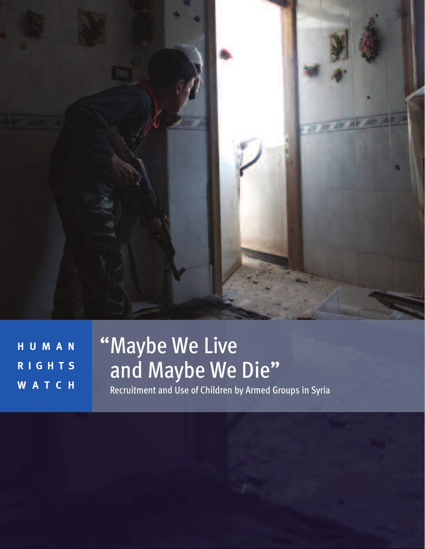

**H U M A N R I G H T S W A T C H**

# "Maybe We Live and Maybe We Die"

Recruitment and Use of Children by Armed Groups in Syria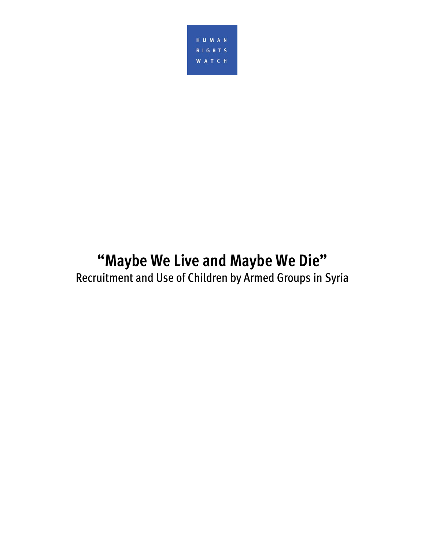

## **"Maybe We Live and Maybe We Die"**  Recruitment and Use of Children by Armed Groups in Syria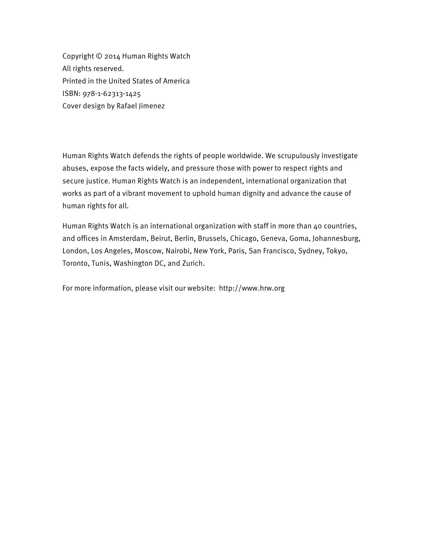Copyright © 2014 Human Rights Watch All rights reserved. Printed in the United States of America ISBN: 978-1-62313-1425 Cover design by Rafael Jimenez

Human Rights Watch defends the rights of people worldwide. We scrupulously investigate abuses, expose the facts widely, and pressure those with power to respect rights and secure justice. Human Rights Watch is an independent, international organization that works as part of a vibrant movement to uphold human dignity and advance the cause of human rights for all.

Human Rights Watch is an international organization with staff in more than 40 countries, and offices in Amsterdam, Beirut, Berlin, Brussels, Chicago, Geneva, Goma, Johannesburg, London, Los Angeles, Moscow, Nairobi, New York, Paris, San Francisco, Sydney, Tokyo, Toronto, Tunis, Washington DC, and Zurich.

For more information, please visit our website: http://www.hrw.org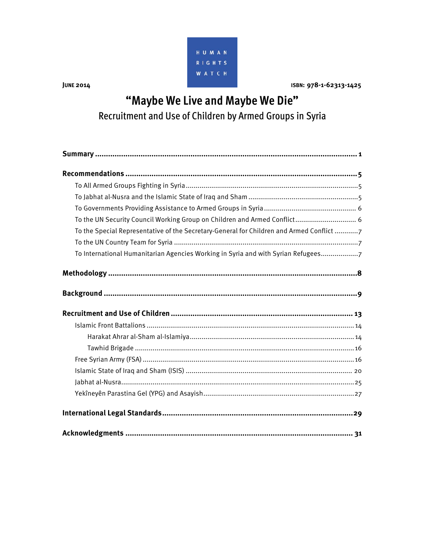

**JUNE 2014** 

#### ISBN: 978-1-62313-1425

## "Maybe We Live and Maybe We Die" Recruitment and Use of Children by Armed Groups in Syria

| To the UN Security Council Working Group on Children and Armed Conflict 6                |
|------------------------------------------------------------------------------------------|
| To the Special Representative of the Secretary-General for Children and Armed Conflict 7 |
|                                                                                          |
| To International Humanitarian Agencies Working in Syria and with Syrian Refugees7        |
|                                                                                          |
|                                                                                          |
|                                                                                          |
|                                                                                          |
|                                                                                          |
|                                                                                          |
|                                                                                          |
|                                                                                          |
|                                                                                          |
|                                                                                          |
|                                                                                          |
|                                                                                          |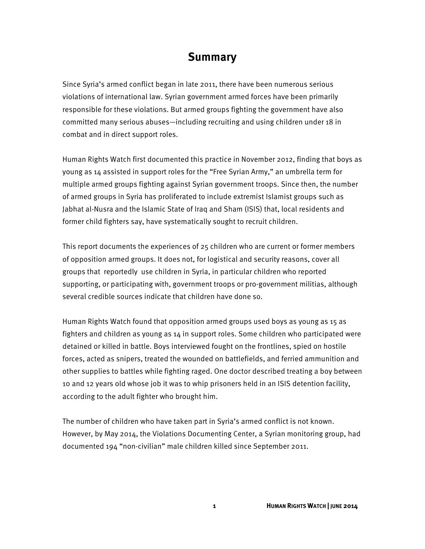#### **Summary**

Since Syria's armed conflict began in late 2011, there have been numerous serious violations of international law. Syrian government armed forces have been primarily responsible for these violations. But armed groups fighting the government have also committed many serious abuses—including recruiting and using children under 18 in combat and in direct support roles.

Human Rights Watch first documented this practice in November 2012, finding that boys as young as 14 assisted in support roles for the "Free Syrian Army," an umbrella term for multiple armed groups fighting against Syrian government troops. Since then, the number of armed groups in Syria has proliferated to include extremist Islamist groups such as Jabhat al-Nusra and the Islamic State of Iraq and Sham (ISIS) that, local residents and former child fighters say, have systematically sought to recruit children.

This report documents the experiences of 25 children who are current or former members of opposition armed groups. It does not, for logistical and security reasons, cover all groups that reportedly use children in Syria, in particular children who reported supporting, or participating with, government troops or pro-government militias, although several credible sources indicate that children have done so.

Human Rights Watch found that opposition armed groups used boys as young as 15 as fighters and children as young as 14 in support roles. Some children who participated were detained or killed in battle. Boys interviewed fought on the frontlines, spied on hostile forces, acted as snipers, treated the wounded on battlefields, and ferried ammunition and other supplies to battles while fighting raged. One doctor described treating a boy between 10 and 12 years old whose job it was to whip prisoners held in an ISIS detention facility, according to the adult fighter who brought him.

The number of children who have taken part in Syria's armed conflict is not known. However, by May 2014, the Violations Documenting Center, a Syrian monitoring group, had documented 194 "non-civilian" male children killed since September 2011.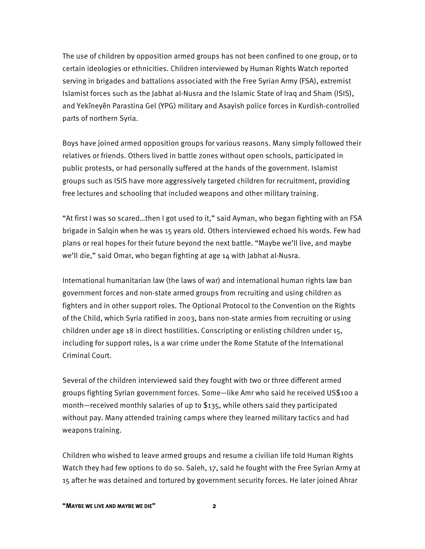The use of children by opposition armed groups has not been confined to one group, or to certain ideologies or ethnicities. Children interviewed by Human Rights Watch reported serving in brigades and battalions associated with the Free Syrian Army (FSA), extremist Islamist forces such as the Jabhat al-Nusra and the Islamic State of Iraq and Sham (ISIS), and Yekîneyên Parastina Gel (YPG) military and Asayish police forces in Kurdish-controlled parts of northern Syria.

Boys have joined armed opposition groups for various reasons. Many simply followed their relatives or friends. Others lived in battle zones without open schools, participated in public protests, or had personally suffered at the hands of the government. Islamist groups such as ISIS have more aggressively targeted children for recruitment, providing free lectures and schooling that included weapons and other military training.

"At first I was so scared…then I got used to it," said Ayman, who began fighting with an FSA brigade in Salqin when he was 15 years old. Others interviewed echoed his words. Few had plans or real hopes for their future beyond the next battle. "Maybe we'll live, and maybe we'll die," said Omar, who began fighting at age 14 with Jabhat al-Nusra.

International humanitarian law (the laws of war) and international human rights law ban government forces and non-state armed groups from recruiting and using children as fighters and in other support roles. The Optional Protocol to the Convention on the Rights of the Child, which Syria ratified in 2003, bans non-state armies from recruiting or using children under age 18 in direct hostilities. Conscripting or enlisting children under 15, including for support roles, is a war crime under the Rome Statute of the International Criminal Court.

Several of the children interviewed said they fought with two or three different armed groups fighting Syrian government forces. Some—like Amr who said he received US\$100 a month—received monthly salaries of up to \$135, while others said they participated without pay. Many attended training camps where they learned military tactics and had weapons training.

Children who wished to leave armed groups and resume a civilian life told Human Rights Watch they had few options to do so. Saleh, 17, said he fought with the Free Syrian Army at 15 after he was detained and tortured by government security forces. He later joined Ahrar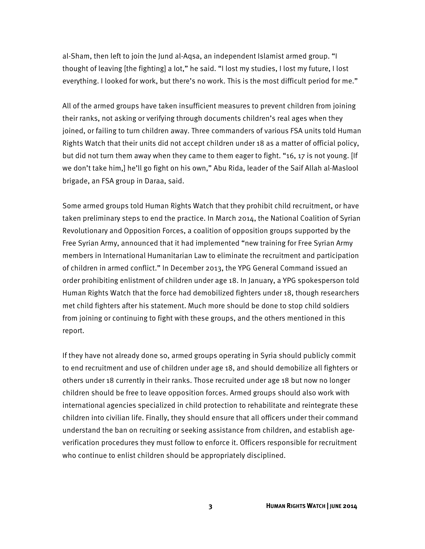al-Sham, then left to join the Jund al-Aqsa, an independent Islamist armed group. "I thought of leaving [the fighting] a lot," he said. "I lost my studies, I lost my future, I lost everything. I looked for work, but there's no work. This is the most difficult period for me."

All of the armed groups have taken insufficient measures to prevent children from joining their ranks, not asking or verifying through documents children's real ages when they joined, or failing to turn children away. Three commanders of various FSA units told Human Rights Watch that their units did not accept children under 18 as a matter of official policy, but did not turn them away when they came to them eager to fight. "16, 17 is not young. [If we don't take him,] he'll go fight on his own," Abu Rida, leader of the Saif Allah al-Maslool brigade, an FSA group in Daraa, said.

Some armed groups told Human Rights Watch that they prohibit child recruitment, or have taken preliminary steps to end the practice. In March 2014, the National Coalition of Syrian Revolutionary and Opposition Forces, a coalition of opposition groups supported by the Free Syrian Army, announced that it had implemented "new training for Free Syrian Army members in International Humanitarian Law to eliminate the recruitment and participation of children in armed conflict." In December 2013, the YPG General Command issued an order prohibiting enlistment of children under age 18. In January, a YPG spokesperson told Human Rights Watch that the force had demobilized fighters under 18, though researchers met child fighters after his statement. Much more should be done to stop child soldiers from joining or continuing to fight with these groups, and the others mentioned in this report.

If they have not already done so, armed groups operating in Syria should publicly commit to end recruitment and use of children under age 18, and should demobilize all fighters or others under 18 currently in their ranks. Those recruited under age 18 but now no longer children should be free to leave opposition forces. Armed groups should also work with international agencies specialized in child protection to rehabilitate and reintegrate these children into civilian life. Finally, they should ensure that all officers under their command understand the ban on recruiting or seeking assistance from children, and establish ageverification procedures they must follow to enforce it. Officers responsible for recruitment who continue to enlist children should be appropriately disciplined.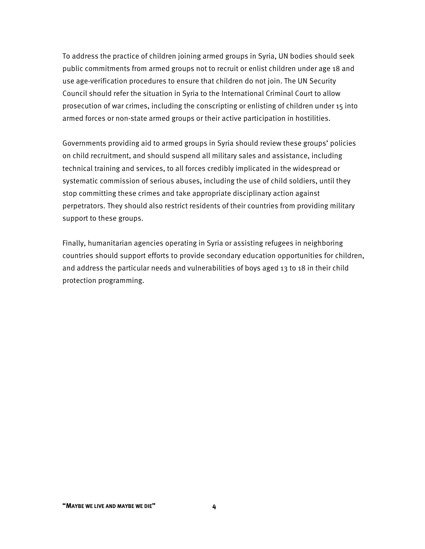To address the practice of children joining armed groups in Syria, UN bodies should seek public commitments from armed groups not to recruit or enlist children under age 18 and use age-verification procedures to ensure that children do not join. The UN Security Council should refer the situation in Syria to the International Criminal Court to allow prosecution of war crimes, including the conscripting or enlisting of children under 15 into armed forces or non-state armed groups or their active participation in hostilities.

Governments providing aid to armed groups in Syria should review these groups' policies on child recruitment, and should suspend all military sales and assistance, including technical training and services, to all forces credibly implicated in the widespread or systematic commission of serious abuses, including the use of child soldiers, until they stop committing these crimes and take appropriate disciplinary action against perpetrators. They should also restrict residents of their countries from providing military support to these groups.

Finally, humanitarian agencies operating in Syria or assisting refugees in neighboring countries should support efforts to provide secondary education opportunities for children, and address the particular needs and vulnerabilities of boys aged 13 to 18 in their child protection programming.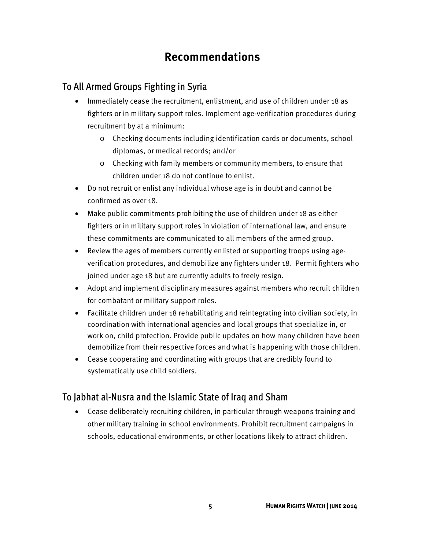## **Recommendations**

#### To All Armed Groups Fighting in Syria

- Immediately cease the recruitment, enlistment, and use of children under 18 as fighters or in military support roles. Implement age-verification procedures during recruitment by at a minimum:
	- o Checking documents including identification cards or documents, school diplomas, or medical records; and/or
	- o Checking with family members or community members, to ensure that children under 18 do not continue to enlist.
- Do not recruit or enlist any individual whose age is in doubt and cannot be confirmed as over 18.
- Make public commitments prohibiting the use of children under 18 as either fighters or in military support roles in violation of international law, and ensure these commitments are communicated to all members of the armed group.
- Review the ages of members currently enlisted or supporting troops using ageverification procedures, and demobilize any fighters under 18. Permit fighters who joined under age 18 but are currently adults to freely resign.
- Adopt and implement disciplinary measures against members who recruit children for combatant or military support roles.
- Facilitate children under 18 rehabilitating and reintegrating into civilian society, in coordination with international agencies and local groups that specialize in, or work on, child protection. Provide public updates on how many children have been demobilize from their respective forces and what is happening with those children.
- Cease cooperating and coordinating with groups that are credibly found to systematically use child soldiers.

#### To Jabhat al-Nusra and the Islamic State of Iraq and Sham

• Cease deliberately recruiting children, in particular through weapons training and other military training in school environments. Prohibit recruitment campaigns in schools, educational environments, or other locations likely to attract children.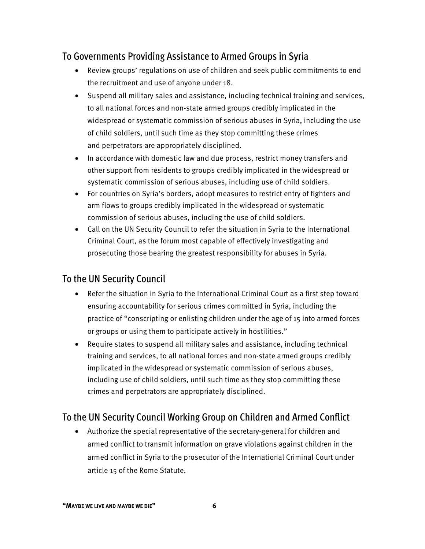#### To Governments Providing Assistance to Armed Groups in Syria

- Review groups' regulations on use of children and seek public commitments to end the recruitment and use of anyone under 18.
- Suspend all military sales and assistance, including technical training and services, to all national forces and non-state armed groups credibly implicated in the widespread or systematic commission of serious abuses in Syria, including the use of child soldiers, until such time as they stop committing these crimes and perpetrators are appropriately disciplined.
- In accordance with domestic law and due process, restrict money transfers and other support from residents to groups credibly implicated in the widespread or systematic commission of serious abuses, including use of child soldiers.
- For countries on Syria's borders, adopt measures to restrict entry of fighters and arm flows to groups credibly implicated in the widespread or systematic commission of serious abuses, including the use of child soldiers.
- Call on the UN Security Council to refer the situation in Syria to the International Criminal Court, as the forum most capable of effectively investigating and prosecuting those bearing the greatest responsibility for abuses in Syria.

#### To the UN Security Council

- Refer the situation in Syria to the International Criminal Court as a first step toward ensuring accountability for serious crimes committed in Syria, including the practice of "conscripting or enlisting children under the age of 15 into armed forces or groups or using them to participate actively in hostilities."
- Require states to suspend all military sales and assistance, including technical training and services, to all national forces and non-state armed groups credibly implicated in the widespread or systematic commission of serious abuses, including use of child soldiers, until such time as they stop committing these crimes and perpetrators are appropriately disciplined.

#### To the UN Security Council Working Group on Children and Armed Conflict

• Authorize the special representative of the secretary-general for children and armed conflict to transmit information on grave violations against children in the armed conflict in Syria to the prosecutor of the International Criminal Court under article 15 of the Rome Statute.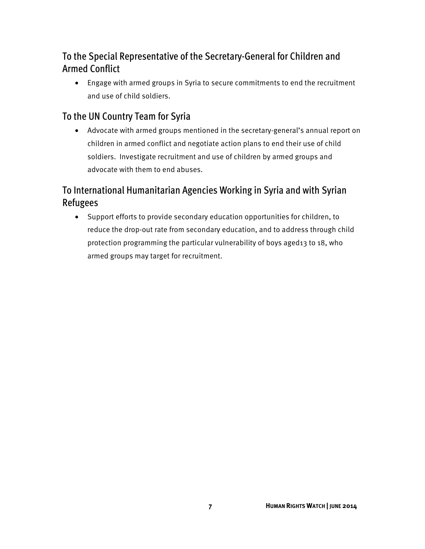#### To the Special Representative of the Secretary-General for Children and Armed Conflict

• Engage with armed groups in Syria to secure commitments to end the recruitment and use of child soldiers.

#### To the UN Country Team for Syria

• Advocate with armed groups mentioned in the secretary-general's annual report on children in armed conflict and negotiate action plans to end their use of child soldiers. Investigate recruitment and use of children by armed groups and advocate with them to end abuses.

#### To International Humanitarian Agencies Working in Syria and with Syrian Refugees

• Support efforts to provide secondary education opportunities for children, to reduce the drop-out rate from secondary education, and to address through child protection programming the particular vulnerability of boys aged13 to 18, who armed groups may target for recruitment.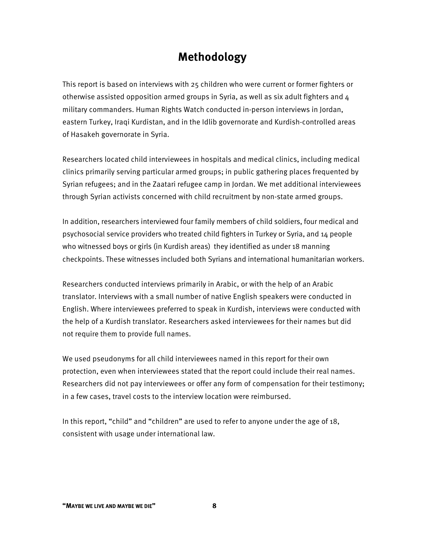## **Methodology**

This report is based on interviews with 25 children who were current or former fighters or otherwise assisted opposition armed groups in Syria, as well as six adult fighters and  $4$ military commanders. Human Rights Watch conducted in-person interviews in Jordan, eastern Turkey, Iraqi Kurdistan, and in the Idlib governorate and Kurdish-controlled areas of Hasakeh governorate in Syria.

Researchers located child interviewees in hospitals and medical clinics, including medical clinics primarily serving particular armed groups; in public gathering places frequented by Syrian refugees; and in the Zaatari refugee camp in Jordan. We met additional interviewees through Syrian activists concerned with child recruitment by non-state armed groups.

In addition, researchers interviewed four family members of child soldiers, four medical and psychosocial service providers who treated child fighters in Turkey or Syria, and 14 people who witnessed boys or girls (in Kurdish areas) they identified as under 18 manning checkpoints. These witnesses included both Syrians and international humanitarian workers.

Researchers conducted interviews primarily in Arabic, or with the help of an Arabic translator. Interviews with a small number of native English speakers were conducted in English. Where interviewees preferred to speak in Kurdish, interviews were conducted with the help of a Kurdish translator. Researchers asked interviewees for their names but did not require them to provide full names.

We used pseudonyms for all child interviewees named in this report for their own protection, even when interviewees stated that the report could include their real names. Researchers did not pay interviewees or offer any form of compensation for their testimony; in a few cases, travel costs to the interview location were reimbursed.

In this report, "child" and "children" are used to refer to anyone under the age of 18, consistent with usage under international law.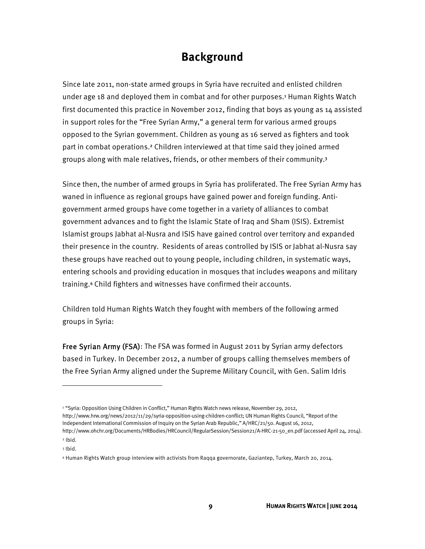#### **Background**

Since late 2011, non-state armed groups in Syria have recruited and enlisted children under age 18 and deployed them in combat and for other purposes.<sup>1</sup> Human Rights Watch first documented this practice in November 2012, finding that boys as young as 14 assisted in support roles for the "Free Syrian Army," a general term for various armed groups opposed to the Syrian government. Children as young as 16 served as fighters and took part in combat operations.<sup>2</sup> Children interviewed at that time said they joined armed groups along with male relatives, friends, or other members of their community.<sup>3</sup>

Since then, the number of armed groups in Syria has proliferated. The Free Syrian Army has waned in influence as regional groups have gained power and foreign funding. Antigovernment armed groups have come together in a variety of alliances to combat government advances and to fight the Islamic State of Iraq and Sham (ISIS). Extremist Islamist groups Jabhat al-Nusra and ISIS have gained control over territory and expanded their presence in the country. Residents of areas controlled by ISIS or Jabhat al-Nusra say these groups have reached out to young people, including children, in systematic ways, entering schools and providing education in mosques that includes weapons and military training.<sup>4</sup> Child fighters and witnesses have confirmed their accounts.

Children told Human Rights Watch they fought with members of the following armed groups in Syria:

Free Syrian Army (FSA): The FSA was formed in August 2011 by Syrian army defectors based in Turkey. In December 2012, a number of groups calling themselves members of the Free Syrian Army aligned under the Supreme Military Council, with Gen. Salim Idris

 $\overline{a}$ 

<sup>&</sup>lt;sup>1</sup> "Syria: Opposition Using Children in Conflict," Human Rights Watch news release, November 29, 2012, http://www.hrw.org/news/2012/11/29/syria-opposition-using-children-conflict; UN Human Rights Council, "Report of the Independent International Commission of Inquiry on the Syrian Arab Republic," A/HRC/21/50. August 16, 2012, http://www.ohchr.org/Documents/HRBodies/HRCouncil/RegularSession/Session21/A-HRC-21-50\_en.pdf (accessed April 24, 2014).

 $2$  Ibid.

<sup>3</sup> Ibid.

<sup>4</sup> Human Rights Watch group interview with activists from Raqqa governorate, Gaziantep, Turkey, March 20, 2014.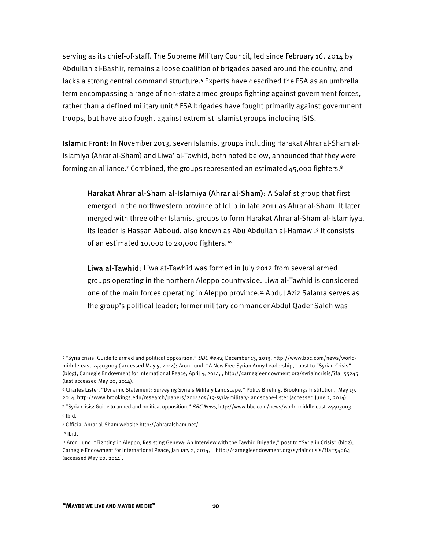serving as its chief-of-staff. The Supreme Military Council, led since February 16, 2014 by Abdullah al-Bashir, remains a loose coalition of brigades based around the country, and lacks a strong central command structure.<sup>5</sup> Experts have described the FSA as an umbrella term encompassing a range of non-state armed groups fighting against government forces, rather than a defined military unit.<sup>6</sup> FSA brigades have fought primarily against government troops, but have also fought against extremist Islamist groups including ISIS.

Islamic Front: In November 2013, seven Islamist groups including Harakat Ahrar al-Sham al-Islamiya (Ahrar al-Sham) and Liwa' al-Tawhid, both noted below, announced that they were forming an alliance.<sup>7</sup> Combined, the groups represented an estimated  $45,000$  fighters.<sup>8</sup>

Harakat Ahrar al-Sham al-Islamiya (Ahrar al-Sham): A Salafist group that first emerged in the northwestern province of Idlib in late 2011 as Ahrar al-Sham. It later merged with three other Islamist groups to form Harakat Ahrar al-Sham al-Islamiyya. Its leader is Hassan Abboud, also known as Abu Abdullah al-Hamawi.<sup>9</sup> It consists of an estimated 10,000 to 20,000 fighters.<sup>10</sup>

Liwa al-Tawhid: Liwa at-Tawhid was formed in July 2012 from several armed groups operating in the northern Aleppo countryside. Liwa al-Tawhid is considered one of the main forces operating in Aleppo province.<sup>11</sup> Abdul Aziz Salama serves as the group's political leader; former military commander Abdul Qader Saleh was

 $\overline{a}$ 

<sup>&</sup>lt;sup>5</sup> "Syria crisis: Guide to armed and political opposition," BBC News, December 13, 2013, http://www.bbc.com/news/worldmiddle-east-24403003 ( accessed May 5, 2014); Aron Lund, "A New Free Syrian Army Leadership," post to "Syrian Crisis" (blog), Carnegie Endowment for International Peace, April 4, 2014, , http://carnegieendowment.org/syriaincrisis/?fa=55245 (last accessed May 20, 2014).

<sup>6</sup> Charles Lister, "Dynamic Stalement: Surveying Syria's Military Landscape," Policy Briefing, Brookings Institution, May 19, 2014, http://www.brookings.edu/research/papers/2014/05/19-syria-military-landscape-lister (accessed June 2, 2014).

<sup>7 &</sup>quot;Syria crisis: Guide to armed and political opposition," BBC News, http://www.bbc.com/news/world-middle-east-24403003 8 Ibid.

<sup>9</sup> Official Ahrar al-Sham website http://ahraralsham.net/.

<sup>10</sup> Ibid.

<sup>&</sup>lt;sup>11</sup> Aron Lund, "Fighting in Aleppo, Resisting Geneva: An Interview with the Tawhid Brigade," post to "Syria in Crisis" (blog), Carnegie Endowment for International Peace, January 2, 2014, , http://carnegieendowment.org/syriaincrisis/?fa=54064 (accessed May 20, 2014).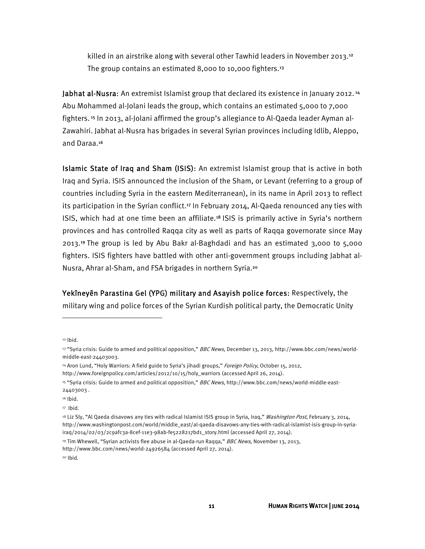killed in an airstrike along with several other Tawhid leaders in November 2013.<sup>12</sup> The group contains an estimated 8,000 to 10,000 fighters.<sup>13</sup>

Jabhat al-Nusra: An extremist Islamist group that declared its existence in January 2012.<sup>14</sup> Abu Mohammed al-Jolani leads the group, which contains an estimated 5,000 to 7,000 fighters. 15 In 2013, al-Jolani affirmed the group's allegiance to Al-Qaeda leader Ayman al-Zawahiri. Jabhat al-Nusra has brigades in several Syrian provinces including Idlib, Aleppo, and Daraa.<sup>16</sup>

Islamic State of Iraq and Sham (ISIS): An extremist Islamist group that is active in both Iraq and Syria. ISIS announced the inclusion of the Sham, or Levant (referring to a group of countries including Syria in the eastern Mediterranean), in its name in April 2013 to reflect its participation in the Syrian conflict.<sup>17</sup> In February 2014, Al-Qaeda renounced any ties with ISIS, which had at one time been an affiliate.<sup>18</sup> ISIS is primarily active in Syria's northern provinces and has controlled Raqqa city as well as parts of Raqqa governorate since May 2013.<sup>19</sup> The group is led by Abu Bakr al-Baghdadi and has an estimated 3,000 to 5,000 fighters. ISIS fighters have battled with other anti-government groups including Jabhat al-Nusra, Ahrar al-Sham, and FSA brigades in northern Syria.<sup>20</sup>

Yekîneyên Parastina Gel (YPG) military and Asayish police forces: Respectively, the military wing and police forces of the Syrian Kurdish political party, the Democratic Unity

**.** 

<sup>12</sup> Ibid.

<sup>&</sup>lt;sup>13</sup> "Syria crisis: Guide to armed and political opposition," BBC News, December 13, 2013, http://www.bbc.com/news/worldmiddle-east-24403003.

<sup>&</sup>lt;sup>14</sup> Aron Lund, "Holy Warriors: A field guide to Syria's jihadi groups," Foreign Policy, October 15, 2012,

http://www.foreignpolicy.com/articles/2012/10/15/holy\_warriors (accessed April 26, 2014).

<sup>&</sup>lt;sup>15</sup> "Syria crisis: Guide to armed and political opposition," *BBC News*, http://www.bbc.com/news/world-middle-east-24403003 .

 $16$  Ibid.

<sup>17</sup> Ibid.

<sup>&</sup>lt;sup>18</sup> Liz Sly, "Al Qaeda disavows any ties with radical Islamist ISIS group in Syria, Iraq," Washington Post, February 3, 2014, http://www.washingtonpost.com/world/middle\_east/al-qaeda-disavows-any-ties-with-radical-islamist-isis-group-in-syriairaq/2014/02/03/2c9afc3a-8cef-11e3-98ab-fe5228217bd1\_story.html (accessed April 27, 2014).

<sup>&</sup>lt;sup>19</sup> Tim Whewell, "Syrian activists flee abuse in al-Qaeda-run Raqqa," *BBC News*, November 13, 2013, http://www.bbc.com/news/world-24926584 (accessed April 27, 2014).

<sup>20</sup> Ibid.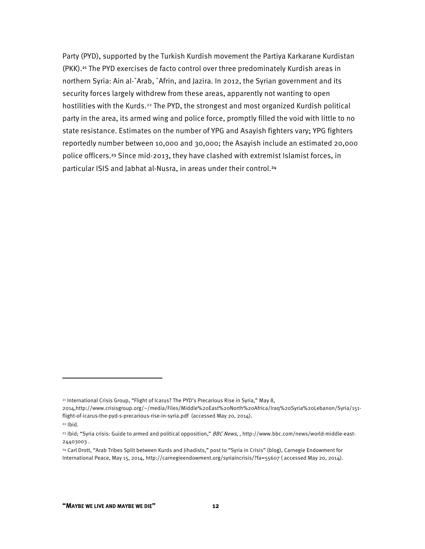Party (PYD), supported by the Turkish Kurdish movement the Partiya Karkarane Kurdistan (PKK).<sup>21</sup> The PYD exercises de facto control over three predominately Kurdish areas in northern Syria: Ain al-`Arab, `Afrin, and Jazira. In 2012, the Syrian government and its security forces largely withdrew from these areas, apparently not wanting to open hostilities with the Kurds.<sup>22</sup> The PYD, the strongest and most organized Kurdish political party in the area, its armed wing and police force, promptly filled the void with little to no state resistance. Estimates on the number of YPG and Asayish fighters vary; YPG fighters reportedly number between 10,000 and 30,000; the Asayish include an estimated 20,000 police officers.<sup>23</sup> Since mid-2013, they have clashed with extremist Islamist forces, in particular ISIS and Jabhat al-Nusra, in areas under their control.<sup>24</sup>

<sup>&</sup>lt;sup>21</sup> International Crisis Group, "Flight of Icarus? The PYD's Precarious Rise in Syria," May 8,

<sup>2014,</sup>http://www.crisisgroup.org/~/media/Files/Middle%20East%20North%20Africa/Iraq%20Syria%20Lebanon/Syria/151 flight-of-icarus-the-pyd-s-precarious-rise-in-syria.pdf (accessed May 20, 2014).

<sup>22</sup> Ibid.

<sup>&</sup>lt;sup>23</sup> Ibid; "Syria crisis: Guide to armed and political opposition," BBC News,, http://www.bbc.com/news/world-middle-east-24403003 .

<sup>24</sup> Carl Drott, "Arab Tribes Split between Kurds and Jihadists," post to "Syria in Crisis" (blog), Carnegie Endowment for International Peace, May 15, 2014, http://carnegieendowment.org/syriaincrisis/?fa=55607 ( accessed May 20, 2014).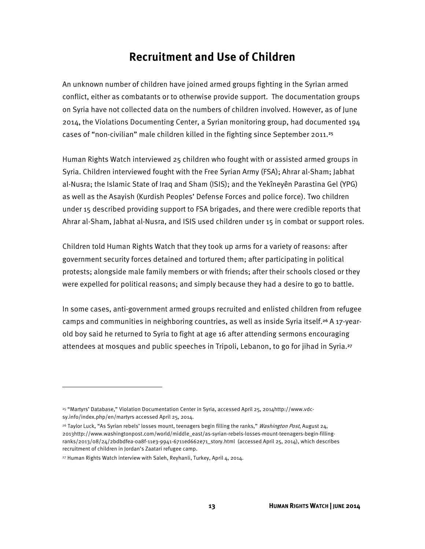#### **Recruitment and Use of Children**

An unknown number of children have joined armed groups fighting in the Syrian armed conflict, either as combatants or to otherwise provide support. The documentation groups on Syria have not collected data on the numbers of children involved. However, as of June 2014, the Violations Documenting Center, a Syrian monitoring group, had documented 194 cases of "non-civilian" male children killed in the fighting since September 2011.<sup>25</sup>

Human Rights Watch interviewed 25 children who fought with or assisted armed groups in Syria. Children interviewed fought with the Free Syrian Army (FSA); Ahrar al-Sham; Jabhat al-Nusra; the Islamic State of Iraq and Sham (ISIS); and the Yekîneyên Parastina Gel (YPG) as well as the Asayish (Kurdish Peoples' Defense Forces and police force). Two children under 15 described providing support to FSA brigades, and there were credible reports that Ahrar al-Sham, Jabhat al-Nusra, and ISIS used children under 15 in combat or support roles.

Children told Human Rights Watch that they took up arms for a variety of reasons: after government security forces detained and tortured them; after participating in political protests; alongside male family members or with friends; after their schools closed or they were expelled for political reasons; and simply because they had a desire to go to battle.

In some cases, anti-government armed groups recruited and enlisted children from refugee camps and communities in neighboring countries, as well as inside Syria itself.<sup>26</sup> A 17-yearold boy said he returned to Syria to fight at age 16 after attending sermons encouraging attendees at mosques and public speeches in Tripoli, Lebanon, to go for jihad in Syria.<sup>27</sup>

**.** 

<sup>25 &</sup>quot;Martyrs' Database," Violation Documentation Center in Syria, accessed April 25, 2014http://www.vdcsy.info/index.php/en/martyrs accessed April 25, 2014.

<sup>&</sup>lt;sup>26</sup> Taylor Luck, "As Syrian rebels' losses mount, teenagers begin filling the ranks," Washington Post, August 24, 2013http://www.washingtonpost.com/world/middle\_east/as-syrian-rebels-losses-mount-teenagers-begin-fillingranks/2013/08/24/2bdbdfea-0a8f-11e3-9941-6711ed662e71\_story.html (accessed April 25, 2014), which describes recruitment of children in Jordan's Zaatari refugee camp.

<sup>&</sup>lt;sup>27</sup> Human Rights Watch interview with Saleh, Reyhanli, Turkey, April 4, 2014.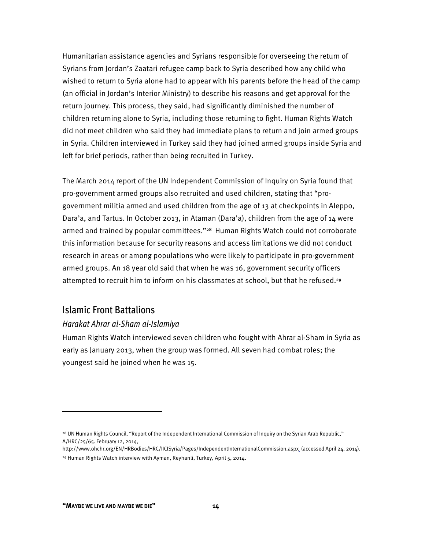Humanitarian assistance agencies and Syrians responsible for overseeing the return of Syrians from Jordan's Zaatari refugee camp back to Syria described how any child who wished to return to Syria alone had to appear with his parents before the head of the camp (an official in Jordan's Interior Ministry) to describe his reasons and get approval for the return journey. This process, they said, had significantly diminished the number of children returning alone to Syria, including those returning to fight. Human Rights Watch did not meet children who said they had immediate plans to return and join armed groups in Syria. Children interviewed in Turkey said they had joined armed groups inside Syria and left for brief periods, rather than being recruited in Turkey.

The March 2014 report of the UN Independent Commission of Inquiry on Syria found that pro-government armed groups also recruited and used children, stating that "progovernment militia armed and used children from the age of 13 at checkpoints in Aleppo, Dara'a, and Tartus. In October 2013, in Ataman (Dara'a), children from the age of 14 were armed and trained by popular committees."<sup>28</sup> Human Rights Watch could not corroborate this information because for security reasons and access limitations we did not conduct research in areas or among populations who were likely to participate in pro-government armed groups. An 18 year old said that when he was 16, government security officers attempted to recruit him to inform on his classmates at school, but that he refused.<sup>29</sup>

#### Islamic Front Battalions

#### *Harakat Ahrar al-Sham al-Islamiya*

Human Rights Watch interviewed seven children who fought with Ahrar al-Sham in Syria as early as January 2013, when the group was formed. All seven had combat roles; the youngest said he joined when he was 15.

<sup>&</sup>lt;sup>28</sup> UN Human Rights Council, "Report of the Independent International Commission of Inquiry on the Syrian Arab Republic," A/HRC/25/65. February 12, 2014,

http://www.ohchr.org/EN/HRBodies/HRC/IICISyria/Pages/IndependentInternationalCommission.aspx (accessed April 24, 2014). 29 Human Rights Watch interview with Ayman, Reyhanli, Turkey, April 5, 2014.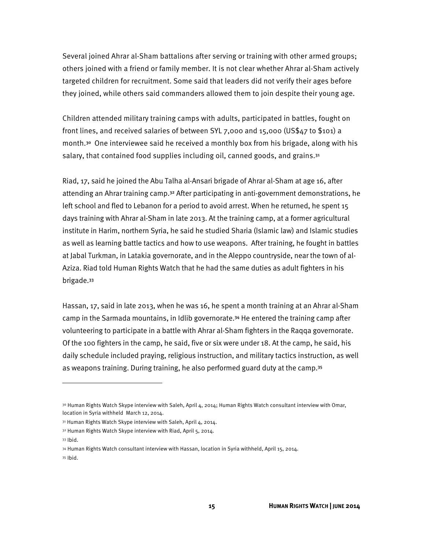Several joined Ahrar al-Sham battalions after serving or training with other armed groups; others joined with a friend or family member. It is not clear whether Ahrar al-Sham actively targeted children for recruitment. Some said that leaders did not verify their ages before they joined, while others said commanders allowed them to join despite their young age.

Children attended military training camps with adults, participated in battles, fought on front lines, and received salaries of between SYL 7,000 and 15,000 (US\$47 to \$101) a month.<sup>30</sup> One interviewee said he received a monthly box from his brigade, along with his salary, that contained food supplies including oil, canned goods, and grains.<sup>31</sup>

Riad, 17, said he joined the Abu Talha al-Ansari brigade of Ahrar al-Sham at age 16, after attending an Ahrar training camp.<sup>32</sup> After participating in anti-government demonstrations, he left school and fled to Lebanon for a period to avoid arrest. When he returned, he spent 15 days training with Ahrar al-Sham in late 2013. At the training camp, at a former agricultural institute in Harim, northern Syria, he said he studied Sharia (Islamic law) and Islamic studies as well as learning battle tactics and how to use weapons. After training, he fought in battles at Jabal Turkman, in Latakia governorate, and in the Aleppo countryside, near the town of al-Aziza. Riad told Human Rights Watch that he had the same duties as adult fighters in his brigade.<sup>33</sup>

Hassan, 17, said in late 2013, when he was 16, he spent a month training at an Ahrar al-Sham camp in the Sarmada mountains, in Idlib governorate.<sup>34</sup> He entered the training camp after volunteering to participate in a battle with Ahrar al-Sham fighters in the Raqqa governorate. Of the 100 fighters in the camp, he said, five or six were under 18. At the camp, he said, his daily schedule included praying, religious instruction, and military tactics instruction, as well as weapons training. During training, he also performed guard duty at the camp.<sup>35</sup>

<sup>30</sup> Human Rights Watch Skype interview with Saleh, April 4, 2014; Human Rights Watch consultant interview with Omar, location in Syria withheld March 12, 2014.

<sup>31</sup> Human Rights Watch Skype interview with Saleh, April 4, 2014.

<sup>32</sup> Human Rights Watch Skype interview with Riad, April 5, 2014.

<sup>33</sup> Ibid.

<sup>34</sup> Human Rights Watch consultant interview with Hassan, location in Syria withheld, April 15, 2014. 35 Ibid.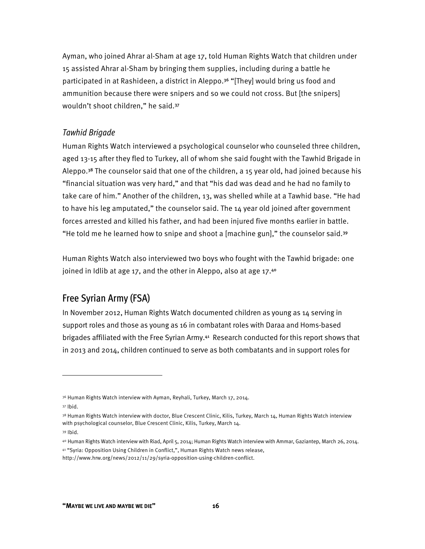Ayman, who joined Ahrar al-Sham at age 17, told Human Rights Watch that children under 15 assisted Ahrar al-Sham by bringing them supplies, including during a battle he participated in at Rashideen, a district in Aleppo.<sup>36</sup> "[They] would bring us food and ammunition because there were snipers and so we could not cross. But [the snipers] wouldn't shoot children," he said.<sup>37</sup>

#### *Tawhid Brigade*

Human Rights Watch interviewed a psychological counselor who counseled three children, aged 13-15 after they fled to Turkey, all of whom she said fought with the Tawhid Brigade in Aleppo.<sup>38</sup> The counselor said that one of the children, a 15 year old, had joined because his "financial situation was very hard," and that "his dad was dead and he had no family to take care of him." Another of the children, 13, was shelled while at a Tawhid base. "He had to have his leg amputated," the counselor said. The 14 year old joined after government forces arrested and killed his father, and had been injured five months earlier in battle. "He told me he learned how to snipe and shoot a [machine gun]," the counselor said.<sup>39</sup>

Human Rights Watch also interviewed two boys who fought with the Tawhid brigade: one joined in Idlib at age 17, and the other in Aleppo, also at age 17.40

#### Free Syrian Army (FSA)

In November 2012, Human Rights Watch documented children as young as 14 serving in support roles and those as young as 16 in combatant roles with Daraa and Homs-based brigades affiliated with the Free Syrian Army.<sup>41</sup> Research conducted for this report shows that in 2013 and 2014, children continued to serve as both combatants and in support roles for

 $\overline{a}$ 

41 "Syria: Opposition Using Children in Conflict,", Human Rights Watch news release,

<sup>36</sup> Human Rights Watch interview with Ayman, Reyhali, Turkey, March 17, 2014.

<sup>37</sup> Ibid.

<sup>38</sup> Human Rights Watch interview with doctor, Blue Crescent Clinic, Kilis, Turkey, March 14, Human Rights Watch interview with psychological counselor, Blue Crescent Clinic, Kilis, Turkey, March 14.

<sup>39</sup> Ibid.

<sup>40</sup> Human Rights Watch interview with Riad, April 5, 2014; Human Rights Watch interview with Ammar, Gaziantep, March 26, 2014.

http://www.hrw.org/news/2012/11/29/syria-opposition-using-children-conflict.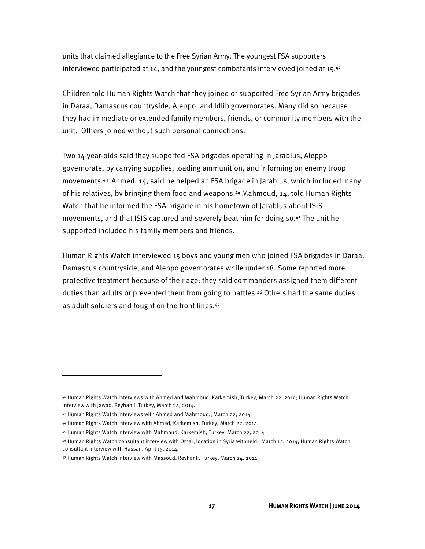units that claimed allegiance to the Free Syrian Army. The youngest FSA supporters interviewed participated at 14, and the youngest combatants interviewed joined at 15.42

Children told Human Rights Watch that they joined or supported Free Syrian Army brigades in Daraa, Damascus countryside, Aleppo, and Idlib governorates. Many did so because they had immediate or extended family members, friends, or community members with the unit. Others joined without such personal connections.

Two 14-year-olds said they supported FSA brigades operating in Jarablus, Aleppo governorate, by carrying supplies, loading ammunition, and informing on enemy troop movements.<sup>43</sup> Ahmed, 14, said he helped an FSA brigade in Jarablus, which included many of his relatives, by bringing them food and weapons.<sup>44</sup> Mahmoud, 14, told Human Rights Watch that he informed the FSA brigade in his hometown of Jarablus about ISIS movements, and that ISIS captured and severely beat him for doing so.<sup>45</sup> The unit he supported included his family members and friends.

Human Rights Watch interviewed 15 boys and young men who joined FSA brigades in Daraa, Damascus countryside, and Aleppo governorates while under 18. Some reported more protective treatment because of their age: they said commanders assigned them different duties than adults or prevented them from going to battles.<sup>46</sup> Others had the same duties as adult soldiers and fought on the front lines.<sup>47</sup>

<u>.</u>

<sup>42</sup> Human Rights Watch interviews with Ahmed and Mahmoud, Karkemish, Turkey, March 22, 2014; Human Rights Watch interview with Jawad, Reyhanli, Turkey, March 24, 2014.

<sup>43</sup> Human Rights Watch interviews with Ahmed and Mahmoud,, March 22, 2014.

<sup>44</sup> Human Rights Watch interview with Ahmed, Karkemish, Turkey, March 22, 2014.

<sup>45</sup> Human Rights Watch interview with Mahmoud, Karkemish, Turkey, March 22, 2014.

<sup>46</sup> Human Rights Watch consultant interview with Omar, location in Syria withheld, March 12, 2014; Human Rights Watch consultant interview with Hassan. April 15, 2014.

<sup>47</sup> Human Rights Watch interview with Massoud, Reyhanli, Turkey, March 24, 2014.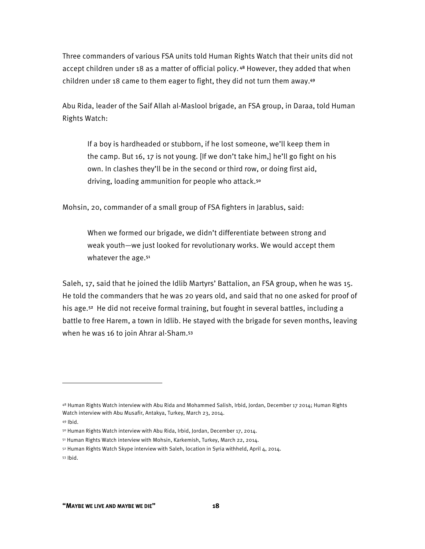Three commanders of various FSA units told Human Rights Watch that their units did not accept children under 18 as a matter of official policy.<sup>48</sup> However, they added that when children under 18 came to them eager to fight, they did not turn them away.<sup>49</sup>

Abu Rida, leader of the Saif Allah al-Maslool brigade, an FSA group, in Daraa, told Human Rights Watch:

If a boy is hardheaded or stubborn, if he lost someone, we'll keep them in the camp. But 16, 17 is not young. [If we don't take him,] he'll go fight on his own. In clashes they'll be in the second or third row, or doing first aid, driving, loading ammunition for people who attack.<sup>50</sup>

Mohsin, 20, commander of a small group of FSA fighters in Jarablus, said:

When we formed our brigade, we didn't differentiate between strong and weak youth—we just looked for revolutionary works. We would accept them whatever the age.<sup>51</sup>

Saleh, 17, said that he joined the Idlib Martyrs' Battalion, an FSA group, when he was 15. He told the commanders that he was 20 years old, and said that no one asked for proof of his age.<sup>52</sup> He did not receive formal training, but fought in several battles, including a battle to free Harem, a town in Idlib. He stayed with the brigade for seven months, leaving when he was 16 to join Ahrar al-Sham.<sup>53</sup>

**.** 

<sup>48</sup> Human Rights Watch interview with Abu Rida and Mohammed Salish, Irbid, Jordan, December 17 2014; Human Rights Watch interview with Abu Musafir, Antakya, Turkey, March 23, 2014.

<sup>49</sup> Ibid.

<sup>50</sup> Human Rights Watch interview with Abu Rida, Irbid, Jordan, December 17, 2014.

<sup>51</sup> Human Rights Watch interview with Mohsin, Karkemish, Turkey, March 22, 2014.

<sup>52</sup> Human Rights Watch Skype interview with Saleh, location in Syria withheld, April 4, 2014. 53 Ibid.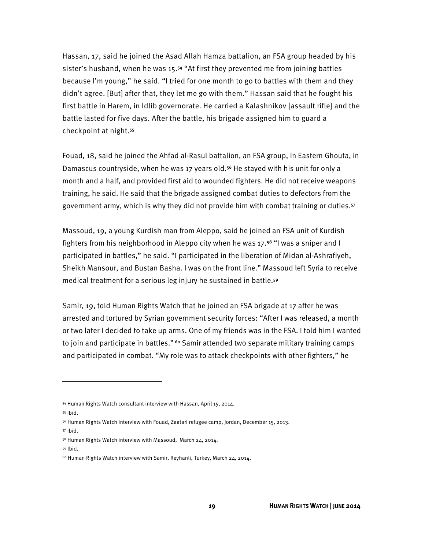Hassan, 17, said he joined the Asad Allah Hamza battalion, an FSA group headed by his sister's husband, when he was 15.<sup>54</sup> "At first they prevented me from joining battles because I'm young," he said. "I tried for one month to go to battles with them and they didn't agree. [But] after that, they let me go with them." Hassan said that he fought his first battle in Harem, in Idlib governorate. He carried a Kalashnikov [assault rifle] and the battle lasted for five days. After the battle, his brigade assigned him to guard a checkpoint at night.<sup>55</sup>

Fouad, 18, said he joined the Ahfad al-Rasul battalion, an FSA group, in Eastern Ghouta, in Damascus countryside, when he was 17 years old.<sup>56</sup> He stayed with his unit for only a month and a half, and provided first aid to wounded fighters. He did not receive weapons training, he said. He said that the brigade assigned combat duties to defectors from the government army, which is why they did not provide him with combat training or duties.<sup>57</sup>

Massoud, 19, a young Kurdish man from Aleppo, said he joined an FSA unit of Kurdish fighters from his neighborhood in Aleppo city when he was 17.<sup>58</sup> "I was a sniper and I participated in battles," he said. "I participated in the liberation of Midan al-Ashrafiyeh, Sheikh Mansour, and Bustan Basha. I was on the front line." Massoud left Syria to receive medical treatment for a serious leg injury he sustained in battle.<sup>59</sup>

Samir, 19, told Human Rights Watch that he joined an FSA brigade at 17 after he was arrested and tortured by Syrian government security forces: "After I was released, a month or two later I decided to take up arms. One of my friends was in the FSA. I told him I wanted to join and participate in battles."<sup>60</sup> Samir attended two separate military training camps and participated in combat. "My role was to attack checkpoints with other fighters," he

<u>.</u>

59 Ibid.

<sup>54</sup> Human Rights Watch consultant interview with Hassan, April 15, 2014.

<sup>55</sup> Ibid.

<sup>56</sup> Human Rights Watch interview with Fouad, Zaatari refugee camp, Jordan, December 15, 2013.

<sup>57</sup> Ibid.

<sup>58</sup> Human Rights Watch interview with Massoud, March 24, 2014.

<sup>60</sup> Human Rights Watch interview with Samir, Reyhanli, Turkey, March 24, 2014.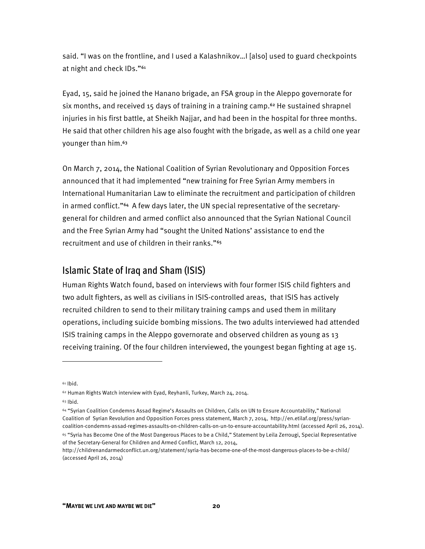said. "I was on the frontline, and I used a Kalashnikov…I [also] used to guard checkpoints at night and check IDs."<sup>61</sup>

Eyad, 15, said he joined the Hanano brigade, an FSA group in the Aleppo governorate for six months, and received 15 days of training in a training camp.<sup>62</sup> He sustained shrapnel injuries in his first battle, at Sheikh Najjar, and had been in the hospital for three months. He said that other children his age also fought with the brigade, as well as a child one year younger than him.<sup>63</sup>

On March 7, 2014, the National Coalition of Syrian Revolutionary and Opposition Forces announced that it had implemented "new training for Free Syrian Army members in International Humanitarian Law to eliminate the recruitment and participation of children in armed conflict."64 A few days later, the UN special representative of the secretarygeneral for children and armed conflict also announced that the Syrian National Council and the Free Syrian Army had "sought the United Nations' assistance to end the recruitment and use of children in their ranks."<sup>65</sup>

#### Islamic State of Iraq and Sham (ISIS)

Human Rights Watch found, based on interviews with four former ISIS child fighters and two adult fighters, as well as civilians in ISIS-controlled areas, that ISIS has actively recruited children to send to their military training camps and used them in military operations, including suicide bombing missions. The two adults interviewed had attended ISIS training camps in the Aleppo governorate and observed children as young as 13 receiving training. Of the four children interviewed, the youngest began fighting at age 15.

 $61$  Ibid.

<sup>62</sup> Human Rights Watch interview with Eyad, Reyhanli, Turkey, March 24, 2014. 63 Ibid.

<sup>64 &</sup>quot;Syrian Coalition Condemns Assad Regime's Assaults on Children, Calls on UN to Ensure Accountability," National Coalition of Syrian Revolution and Opposition Forces press statement, March 7, 2014, http://en.etilaf.org/press/syriancoalition-condemns-assad-regimes-assaults-on-children-calls-on-un-to-ensure-accountability.html (accessed April 26, 2014).

<sup>65 &</sup>quot;Syria has Become One of the Most Dangerous Places to be a Child," Statement by Leila Zerrougi, Special Representative of the Secretary-General for Children and Armed Conflict, March 12, 2014,

http://childrenandarmedconflict.un.org/statement/syria-has-become-one-of-the-most-dangerous-places-to-be-a-child/ (accessed April 26, 2014)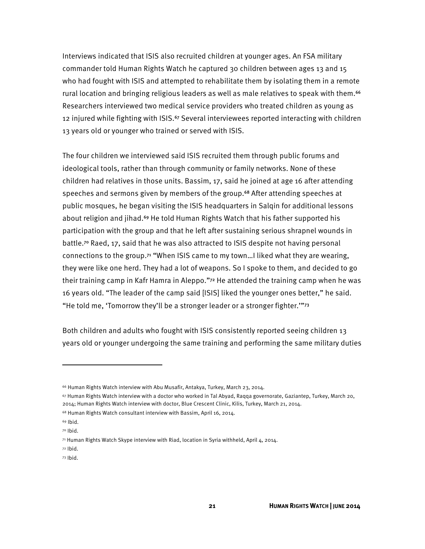Interviews indicated that ISIS also recruited children at younger ages. An FSA military commander told Human Rights Watch he captured 30 children between ages 13 and 15 who had fought with ISIS and attempted to rehabilitate them by isolating them in a remote rural location and bringing religious leaders as well as male relatives to speak with them.<sup>66</sup> Researchers interviewed two medical service providers who treated children as young as 12 injured while fighting with ISIS.<sup>67</sup> Several interviewees reported interacting with children 13 years old or younger who trained or served with ISIS.

The four children we interviewed said ISIS recruited them through public forums and ideological tools, rather than through community or family networks. None of these children had relatives in those units. Bassim, 17, said he joined at age 16 after attending speeches and sermons given by members of the group.<sup>68</sup> After attending speeches at public mosques, he began visiting the ISIS headquarters in Salqin for additional lessons about religion and jihad.<sup>69</sup> He told Human Rights Watch that his father supported his participation with the group and that he left after sustaining serious shrapnel wounds in battle.<sup>70</sup> Raed, 17, said that he was also attracted to ISIS despite not having personal connections to the group.<sup>71</sup> "When ISIS came to my town…I liked what they are wearing, they were like one herd. They had a lot of weapons. So I spoke to them, and decided to go their training camp in Kafr Hamra in Aleppo."<sup>72</sup> He attended the training camp when he was 16 years old. "The leader of the camp said [ISIS] liked the younger ones better," he said. "He told me, 'Tomorrow they'll be a stronger leader or a stronger fighter.'"<sup>73</sup>

Both children and adults who fought with ISIS consistently reported seeing children 13 years old or younger undergoing the same training and performing the same military duties

<u>.</u>

<sup>66</sup> Human Rights Watch interview with Abu Musafir, Antakya, Turkey, March 23, 2014.

<sup>67</sup> Human Rights Watch interview with a doctor who worked in Tal Abyad, Raqqa governorate, Gaziantep, Turkey, March 20, 2014; Human Rights Watch interview with doctor, Blue Crescent Clinic, Kilis, Turkey, March 21, 2014.

<sup>68</sup> Human Rights Watch consultant interview with Bassim, April 16, 2014.

<sup>69</sup> Ibid.

<sup>70</sup> Ibid.

<sup>71</sup> Human Rights Watch Skype interview with Riad, location in Syria withheld, April 4, 2014.

<sup>72</sup> Ibid.

<sup>73</sup> Ibid.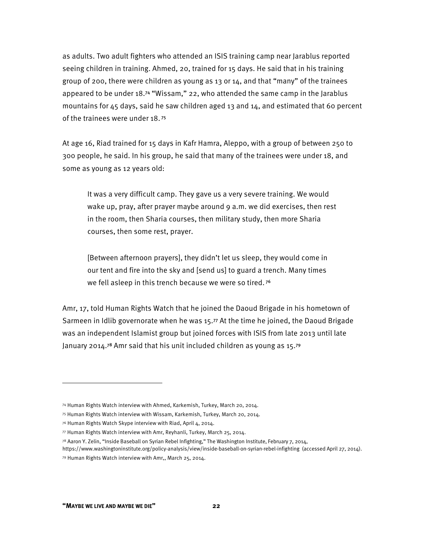as adults. Two adult fighters who attended an ISIS training camp near Jarablus reported seeing children in training. Ahmed, 20, trained for 15 days. He said that in his training group of 200, there were children as young as 13 or 14, and that "many" of the trainees appeared to be under 18.<sup>74</sup> "Wissam," 22, who attended the same camp in the Jarablus mountains for 45 days, said he saw children aged 13 and 14, and estimated that 60 percent of the trainees were under 18.<sup>75</sup>

At age 16, Riad trained for 15 days in Kafr Hamra, Aleppo, with a group of between 250 to 300 people, he said. In his group, he said that many of the trainees were under 18, and some as young as 12 years old:

It was a very difficult camp. They gave us a very severe training. We would wake up, pray, after prayer maybe around 9 a.m. we did exercises, then rest in the room, then Sharia courses, then military study, then more Sharia courses, then some rest, prayer.

[Between afternoon prayers], they didn't let us sleep, they would come in our tent and fire into the sky and [send us] to guard a trench. Many times we fell asleep in this trench because we were so tired.<sup>76</sup>

Amr, 17, told Human Rights Watch that he joined the Daoud Brigade in his hometown of Sarmeen in Idlib governorate when he was 15.<sup>77</sup> At the time he joined, the Daoud Brigade was an independent Islamist group but joined forces with ISIS from late 2013 until late January 2014.<sup>78</sup> Amr said that his unit included children as young as 15.<sup>79</sup>

<sup>74</sup> Human Rights Watch interview with Ahmed, Karkemish, Turkey, March 20, 2014.

<sup>75</sup> Human Rights Watch interview with Wissam, Karkemish, Turkey, March 20, 2014.

<sup>76</sup> Human Rights Watch Skype interview with Riad, April 4, 2014.

<sup>77</sup> Human Rights Watch interview with Amr, Reyhanli, Turkey, March 25, 2014.

<sup>78</sup> Aaron Y. Zelin, "Inside Baseball on Syrian Rebel Infighting," The Washington Institute, February 7, 2014,

https://www.washingtoninstitute.org/policy-analysis/view/inside-baseball-on-syrian-rebel-infighting (accessed April 27, 2014). 79 Human Rights Watch interview with Amr,, March 25, 2014.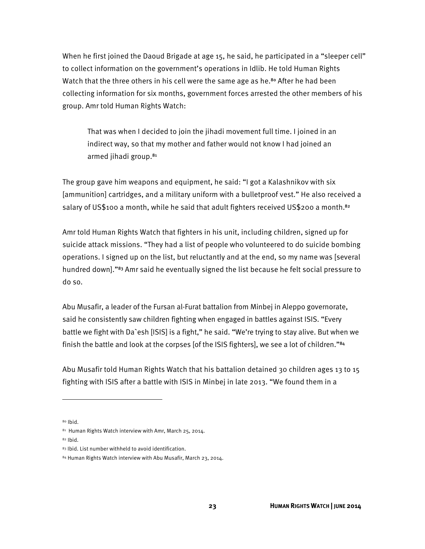When he first joined the Daoud Brigade at age 15, he said, he participated in a "sleeper cell" to collect information on the government's operations in Idlib. He told Human Rights Watch that the three others in his cell were the same age as he.<sup>80</sup> After he had been collecting information for six months, government forces arrested the other members of his group. Amr told Human Rights Watch:

That was when I decided to join the jihadi movement full time. I joined in an indirect way, so that my mother and father would not know I had joined an armed jihadi group.<sup>81</sup>

The group gave him weapons and equipment, he said: "I got a Kalashnikov with six [ammunition] cartridges, and a military uniform with a bulletproof vest." He also received a salary of US\$100 a month, while he said that adult fighters received US\$200 a month.<sup>82</sup>

Amr told Human Rights Watch that fighters in his unit, including children, signed up for suicide attack missions. "They had a list of people who volunteered to do suicide bombing operations. I signed up on the list, but reluctantly and at the end, so my name was [several hundred down]."<sup>83</sup> Amr said he eventually signed the list because he felt social pressure to do so.

Abu Musafir, a leader of the Fursan al-Furat battalion from Minbej in Aleppo governorate, said he consistently saw children fighting when engaged in battles against ISIS. "Every battle we fight with Da`esh [ISIS] is a fight," he said. "We're trying to stay alive. But when we finish the battle and look at the corpses [of the ISIS fighters], we see a lot of children."<sup>84</sup>

Abu Musafir told Human Rights Watch that his battalion detained 30 children ages 13 to 15 fighting with ISIS after a battle with ISIS in Minbej in late 2013. "We found them in a

 $80$  Ibid.

 $\overline{\phantom{a}}$ 

82 Ibid.

<sup>81</sup> Human Rights Watch interview with Amr, March 25, 2014.

<sup>83</sup> Ibid. List number withheld to avoid identification.

<sup>84</sup> Human Rights Watch interview with Abu Musafir, March 23, 2014.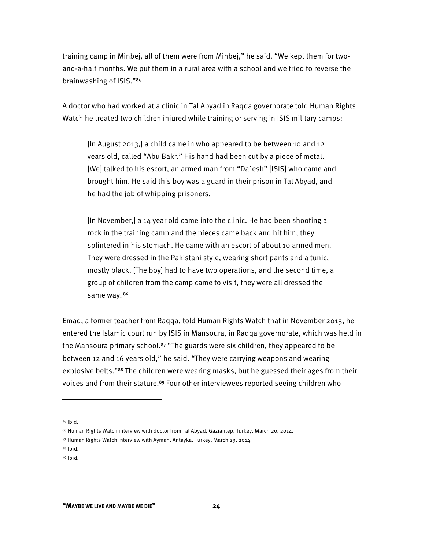training camp in Minbej, all of them were from Minbej," he said. "We kept them for twoand-a-half months. We put them in a rural area with a school and we tried to reverse the brainwashing of ISIS."<sup>85</sup>

A doctor who had worked at a clinic in Tal Abyad in Raqqa governorate told Human Rights Watch he treated two children injured while training or serving in ISIS military camps:

[In August 2013,] a child came in who appeared to be between 10 and 12 years old, called "Abu Bakr." His hand had been cut by a piece of metal. [We] talked to his escort, an armed man from "Da`esh" [ISIS] who came and brought him. He said this boy was a guard in their prison in Tal Abyad, and he had the job of whipping prisoners.

[In November,] a 14 year old came into the clinic. He had been shooting a rock in the training camp and the pieces came back and hit him, they splintered in his stomach. He came with an escort of about 10 armed men. They were dressed in the Pakistani style, wearing short pants and a tunic, mostly black. [The boy] had to have two operations, and the second time, a group of children from the camp came to visit, they were all dressed the same way. 86

Emad, a former teacher from Raqqa, told Human Rights Watch that in November 2013, he entered the Islamic court run by ISIS in Mansoura, in Raqqa governorate, which was held in the Mansoura primary school.<sup>87</sup> "The guards were six children, they appeared to be between 12 and 16 years old," he said. "They were carrying weapons and wearing explosive belts."<sup>88</sup> The children were wearing masks, but he guessed their ages from their voices and from their stature.<sup>89</sup> Four other interviewees reported seeing children who

 $85$  Ibid.

<sup>86</sup> Human Rights Watch interview with doctor from Tal Abyad, Gaziantep, Turkey, March 20, 2014.

<sup>87</sup> Human Rights Watch interview with Ayman, Antayka, Turkey, March 23, 2014.

<sup>88</sup> Ibid.

<sup>89</sup> Ibid.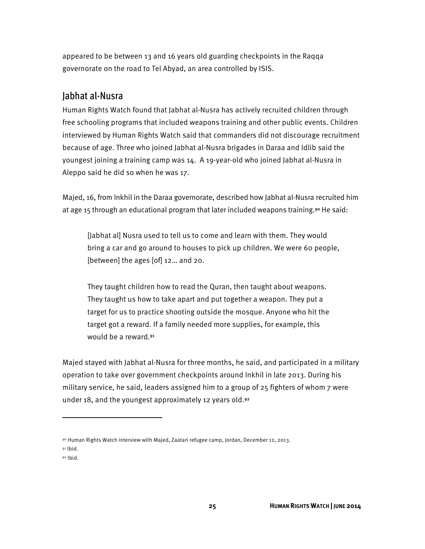appeared to be between 13 and 16 years old guarding checkpoints in the Raqqa governorate on the road to Tel Abyad, an area controlled by ISIS.

#### Jabhat al-Nusra

Human Rights Watch found that Jabhat al-Nusra has actively recruited children through free schooling programs that included weapons training and other public events. Children interviewed by Human Rights Watch said that commanders did not discourage recruitment because of age. Three who joined Jabhat al-Nusra brigades in Daraa and Idlib said the youngest joining a training camp was 14. A 19-year-old who joined Jabhat al-Nusra in Aleppo said he did so when he was 17.

Majed, 16, from Inkhil in the Daraa governorate, described how Jabhat al-Nusra recruited him at age 15 through an educational program that later included weapons training.<sup>90</sup> He said:

[Jabhat al] Nusra used to tell us to come and learn with them. They would bring a car and go around to houses to pick up children. We were 60 people, [between] the ages [of] 12... and 20.

They taught children how to read the Quran, then taught about weapons. They taught us how to take apart and put together a weapon. They put a target for us to practice shooting outside the mosque. Anyone who hit the target got a reward. If a family needed more supplies, for example, this would be a reward.<sup>91</sup>

Majed stayed with Jabhat al-Nusra for three months, he said, and participated in a military operation to take over government checkpoints around Inkhil in late 2013. During his military service, he said, leaders assigned him to a group of 25 fighters of whom 7 were under 18, and the youngest approximately 12 years old.<sup>92</sup>

**.** 

<sup>90</sup> Human Rights Watch interview with Majed, Zaatari refugee camp, Jordan, December 12, 2013.

 $91$  Ibid.

<sup>92</sup> Ibid.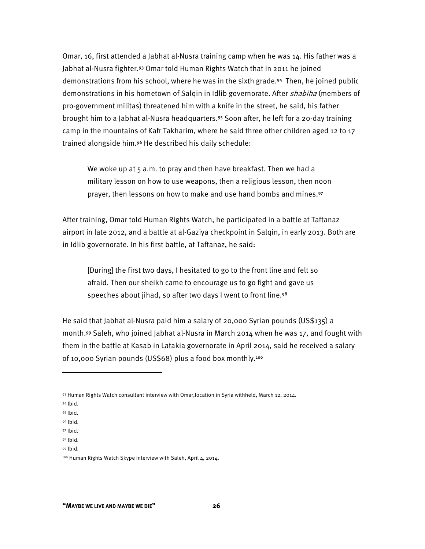Omar, 16, first attended a Jabhat al-Nusra training camp when he was 14. His father was a Jabhat al-Nusra fighter.<sup>93</sup> Omar told Human Rights Watch that in 2011 he joined demonstrations from his school, where he was in the sixth grade.<sup>94</sup> Then, he joined public demonstrations in his hometown of Salqin in Idlib governorate. After *shabiha* (members of pro-government militas) threatened him with a knife in the street, he said, his father brought him to a Jabhat al-Nusra headquarters.<sup>95</sup> Soon after, he left for a 20-day training camp in the mountains of Kafr Takharim, where he said three other children aged 12 to 17 trained alongside him.<sup>96</sup> He described his daily schedule:

We woke up at 5 a.m. to pray and then have breakfast. Then we had a military lesson on how to use weapons, then a religious lesson, then noon prayer, then lessons on how to make and use hand bombs and mines.<sup>97</sup>

After training, Omar told Human Rights Watch, he participated in a battle at Taftanaz airport in late 2012, and a battle at al-Gaziya checkpoint in Salqin, in early 2013. Both are in Idlib governorate. In his first battle, at Taftanaz, he said:

[During] the first two days, I hesitated to go to the front line and felt so afraid. Then our sheikh came to encourage us to go fight and gave us speeches about jihad, so after two days I went to front line.98

He said that Jabhat al-Nusra paid him a salary of 20,000 Syrian pounds (US\$135) a month.<sup>99</sup> Saleh, who joined Jabhat al-Nusra in March 2014 when he was 17, and fought with them in the battle at Kasab in Latakia governorate in April 2014, said he received a salary of 10,000 Syrian pounds (US\$68) plus a food box monthly.<sup>100</sup>

94 Ibid.

**.** 

99 Ibid.

<sup>93</sup> Human Rights Watch consultant interview with Omar,location in Syria withheld, March 12, 2014.

<sup>95</sup> Ibid.

<sup>96</sup> Ibid.

<sup>97</sup> Ibid.

<sup>98</sup> Ibid.

<sup>100</sup> Human Rights Watch Skype interview with Saleh, April 4, 2014.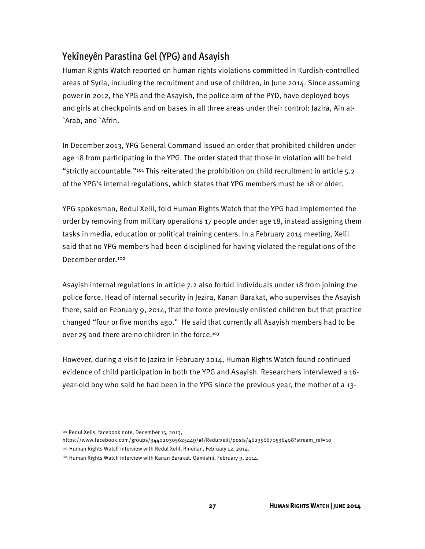#### Yekîneyên Parastina Gel (YPG) and Asayish

Human Rights Watch reported on human rights violations committed in Kurdish-controlled areas of Syria, including the recruitment and use of children, in June 2014. Since assuming power in 2012, the YPG and the Asayish, the police arm of the PYD, have deployed boys and girls at checkpoints and on bases in all three areas under their control: Jazira, Ain al- `Arab, and `Afrin.

In December 2013, YPG General Command issued an order that prohibited children under age 18 from participating in the YPG. The order stated that those in violation will be held "strictly accountable."101 This reiterated the prohibition on child recruitment in article 5.2 of the YPG's internal regulations, which states that YPG members must be 18 or older.

YPG spokesman, Redul Xelil, told Human Rights Watch that the YPG had implemented the order by removing from military operations 17 people under age 18, instead assigning them tasks in media, education or political training centers. In a February 2014 meeting, Xelil said that no YPG members had been disciplined for having violated the regulations of the December order.102

Asayish internal regulations in article 7.2 also forbid individuals under 18 from joining the police force. Head of internal security in Jezira, Kanan Barakat, who supervises the Asayish there, said on February 9, 2014, that the force previously enlisted children but that practice changed "four or five months ago." He said that currently all Asayish members had to be over 25 and there are no children in the force.<sup>103</sup>

However, during a visit to Jazira in February 2014, Human Rights Watch found continued evidence of child participation in both the YPG and Asayish. Researchers interviewed a 16 year-old boy who said he had been in the YPG since the previous year, the mother of a 13-

 $\overline{\phantom{a}}$ 

https://www.facebook.com/groups/344020305625449/#!/Redurxelil/posts/462356670536408?stream\_ref=10

<sup>101</sup> Redul Xelis, facebook note, December 15, 2013,

<sup>102</sup> Human Rights Watch interview with Redul Xelil, Rmeilan, February 12, 2014.

<sup>103</sup> Human Rights Watch interview with Kanan Barakat, Qamishli, February 9, 2014.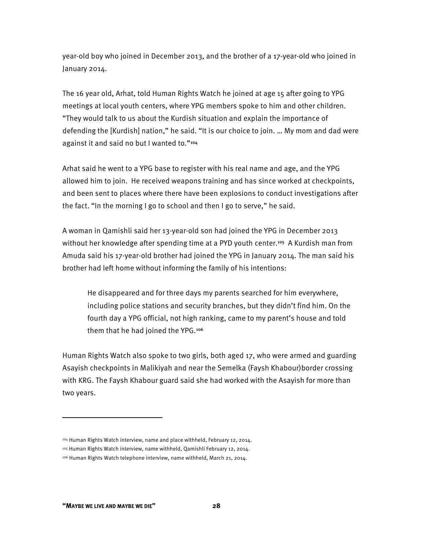year-old boy who joined in December 2013, and the brother of a 17-year-old who joined in January 2014.

The 16 year old, Arhat, told Human Rights Watch he joined at age 15 after going to YPG meetings at local youth centers, where YPG members spoke to him and other children. "They would talk to us about the Kurdish situation and explain the importance of defending the [Kurdish] nation," he said. "It is our choice to join. … My mom and dad were against it and said no but I wanted to."<sup>104</sup>

Arhat said he went to a YPG base to register with his real name and age, and the YPG allowed him to join. He received weapons training and has since worked at checkpoints, and been sent to places where there have been explosions to conduct investigations after the fact. "In the morning I go to school and then I go to serve," he said.

A woman in Qamishli said her 13-year-old son had joined the YPG in December 2013 without her knowledge after spending time at a PYD youth center.<sup>105</sup> A Kurdish man from Amuda said his 17-year-old brother had joined the YPG in January 2014. The man said his brother had left home without informing the family of his intentions:

He disappeared and for three days my parents searched for him everywhere, including police stations and security branches, but they didn't find him. On the fourth day a YPG official, not high ranking, came to my parent's house and told them that he had joined the YPG.<sup>106</sup>

Human Rights Watch also spoke to two girls, both aged 17, who were armed and guarding Asayish checkpoints in Malikiyah and near the Semelka (Faysh Khabour)border crossing with KRG. The Faysh Khabour guard said she had worked with the Asayish for more than two years.

**.** 

<sup>104</sup> Human Rights Watch interview, name and place withheld, February 12, 2014.

<sup>105</sup> Human Rights Watch interview, name withheld, Qamishli February 12, 2014.

<sup>106</sup> Human Rights Watch telephone interview, name withheld, March 21, 2014.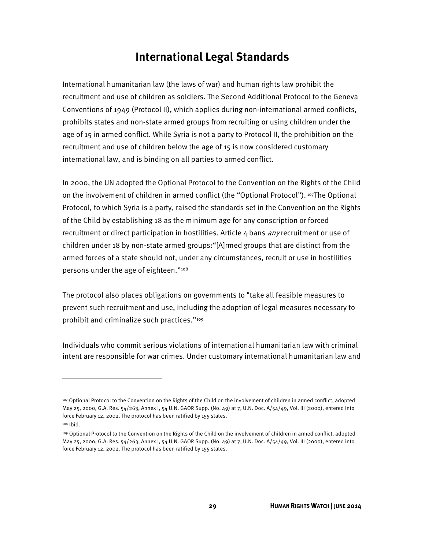## **International Legal Standards**

International humanitarian law (the laws of war) and human rights law prohibit the recruitment and use of children as soldiers. The Second Additional Protocol to the Geneva Conventions of 1949 (Protocol II), which applies during non-international armed conflicts, prohibits states and non-state armed groups from recruiting or using children under the age of 15 in armed conflict. While Syria is not a party to Protocol II, the prohibition on the recruitment and use of children below the age of 15 is now considered customary international law, and is binding on all parties to armed conflict.

In 2000, the UN adopted the Optional Protocol to the Convention on the Rights of the Child on the involvement of children in armed conflict (the "Optional Protocol"). 107The Optional Protocol, to which Syria is a party, raised the standards set in the Convention on the Rights of the Child by establishing 18 as the minimum age for any conscription or forced recruitment or direct participation in hostilities. Article  $4$  bans  $\frac{any}{}$  recruitment or use of children under 18 by non-state armed groups:"[A]rmed groups that are distinct from the armed forces of a state should not, under any circumstances, recruit or use in hostilities persons under the age of eighteen."108

The protocol also places obligations on governments to "take all feasible measures to prevent such recruitment and use, including the adoption of legal measures necessary to prohibit and criminalize such practices."109

Individuals who commit serious violations of international humanitarian law with criminal intent are responsible for war crimes. Under customary international humanitarian law and

<sup>107</sup> Optional Protocol to the Convention on the Rights of the Child on the involvement of children in armed conflict, adopted May 25, 2000, G.A. Res. 54/263, Annex I, 54 U.N. GAOR Supp. (No. 49) at 7, U.N. Doc. A/54/49, Vol. III (2000), entered into force February 12, 2002. The protocol has been ratified by 155 states.

<sup>108</sup> Ibid.

<sup>109</sup> Optional Protocol to the Convention on the Rights of the Child on the involvement of children in armed conflict, adopted May 25, 2000, G.A. Res. 54/263, Annex I, 54 U.N. GAOR Supp. (No. 49) at 7, U.N. Doc. A/54/49, Vol. III (2000), entered into force February 12, 2002. The protocol has been ratified by 155 states.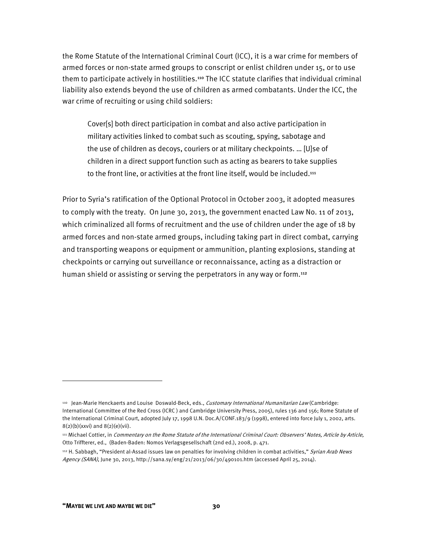the Rome Statute of the International Criminal Court (ICC), it is a war crime for members of armed forces or non-state armed groups to conscript or enlist children under 15, or to use them to participate actively in hostilities.<sup>110</sup> The ICC statute clarifies that individual criminal liability also extends beyond the use of children as armed combatants. Under the ICC, the war crime of recruiting or using child soldiers:

Cover[s] both direct participation in combat and also active participation in military activities linked to combat such as scouting, spying, sabotage and the use of children as decoys, couriers or at military checkpoints. … [U]se of children in a direct support function such as acting as bearers to take supplies to the front line, or activities at the front line itself, would be included.<sup>111</sup>

Prior to Syria's ratification of the Optional Protocol in October 2003, it adopted measures to comply with the treaty. On June 30, 2013, the government enacted Law No. 11 of 2013, which criminalized all forms of recruitment and the use of children under the age of 18 by armed forces and non-state armed groups, including taking part in direct combat, carrying and transporting weapons or equipment or ammunition, planting explosions, standing at checkpoints or carrying out surveillance or reconnaissance, acting as a distraction or human shield or assisting or serving the perpetrators in any way or form.<sup>112</sup>

<sup>&</sup>lt;sup>110</sup> Jean-Marie Henckaerts and Louise Doswald-Beck, eds., Customary International Humanitarian Law (Cambridge: International Committee of the Red Cross (ICRC ) and Cambridge University Press, 2005), rules 136 and 156; Rome Statute of the International Criminal Court, adopted July 17, 1998 U.N. Doc.A/CONF.183/9 (1998), entered into force July 1, 2002, arts.  $8(2)(b)(xxv)$  and  $8(2)(e)(vi)$ .

<sup>111</sup> Michael Cottier, in Commentary on the Rome Statute of the International Criminal Court: Observers' Notes, Article by Article, Otto Triffterer, ed., (Baden-Baden: Nomos Verlagsgesellschaft (2nd ed.), 2008, p. 471.

<sup>112</sup> H. Sabbagh, "President al-Assad issues law on penalties for involving children in combat activities," Syrian Arab News Agency (SANA), June 30, 2013, http://sana.sy/eng/21/2013/06/30/490101.htm (accessed April 25, 2014).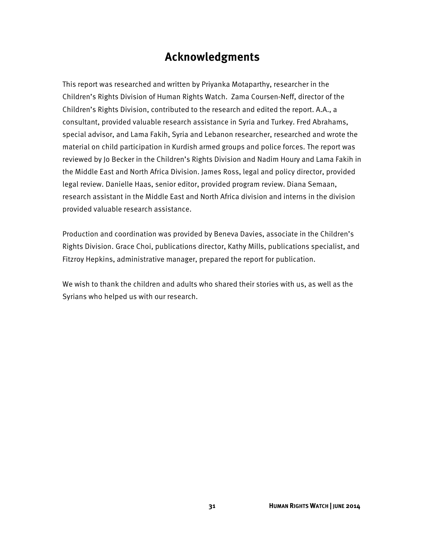## **Acknowledgments**

This report was researched and written by Priyanka Motaparthy, researcher in the Children's Rights Division of Human Rights Watch. Zama Coursen-Neff, director of the Children's Rights Division, contributed to the research and edited the report. A.A., a consultant, provided valuable research assistance in Syria and Turkey. Fred Abrahams, special advisor, and Lama Fakih, Syria and Lebanon researcher, researched and wrote the material on child participation in Kurdish armed groups and police forces. The report was reviewed by Jo Becker in the Children's Rights Division and Nadim Houry and Lama Fakih in the Middle East and North Africa Division. James Ross, legal and policy director, provided legal review. Danielle Haas, senior editor, provided program review. Diana Semaan, research assistant in the Middle East and North Africa division and interns in the division provided valuable research assistance.

Production and coordination was provided by Beneva Davies, associate in the Children's Rights Division. Grace Choi, publications director, Kathy Mills, publications specialist, and Fitzroy Hepkins, administrative manager, prepared the report for publication.

We wish to thank the children and adults who shared their stories with us, as well as the Syrians who helped us with our research.